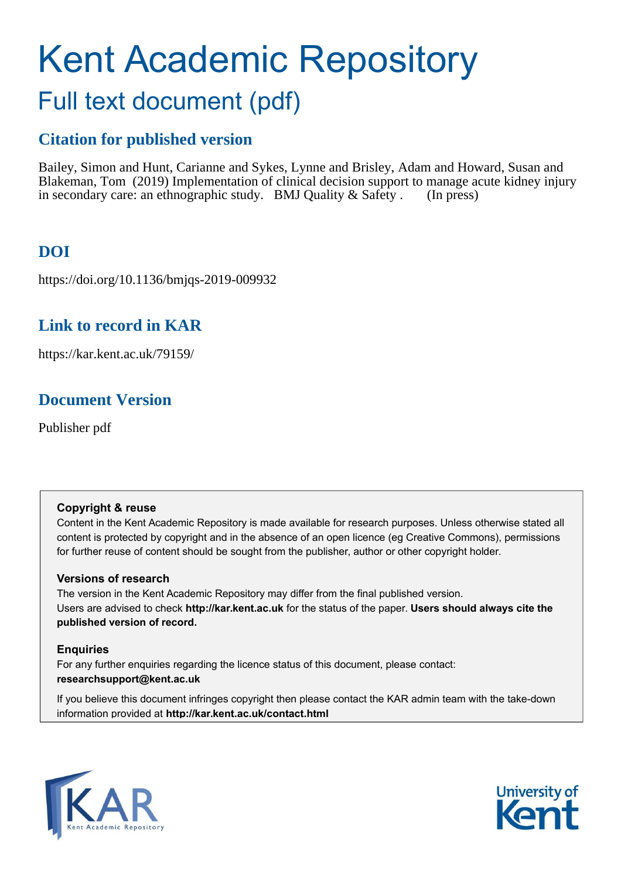# Kent Academic Repository Full text document (pdf)

## **Citation for published version**

Bailey, Simon and Hunt, Carianne and Sykes, Lynne and Brisley, Adam and Howard, Susan and Blakeman, Tom (2019) Implementation of clinical decision support to manage acute kidney injury in secondary care: an ethnographic study. BMJ Quality & Safety . (In press)

## **DOI**

https://doi.org/10.1136/bmjqs-2019-009932

### **Link to record in KAR**

https://kar.kent.ac.uk/79159/

## **Document Version**

Publisher pdf

#### **Copyright & reuse**

Content in the Kent Academic Repository is made available for research purposes. Unless otherwise stated all content is protected by copyright and in the absence of an open licence (eg Creative Commons), permissions for further reuse of content should be sought from the publisher, author or other copyright holder.

#### **Versions of research**

The version in the Kent Academic Repository may differ from the final published version. Users are advised to check **http://kar.kent.ac.uk** for the status of the paper. **Users should always cite the published version of record.**

#### **Enquiries**

For any further enquiries regarding the licence status of this document, please contact: **researchsupport@kent.ac.uk**

If you believe this document infringes copyright then please contact the KAR admin team with the take-down information provided at **http://kar.kent.ac.uk/contact.html**



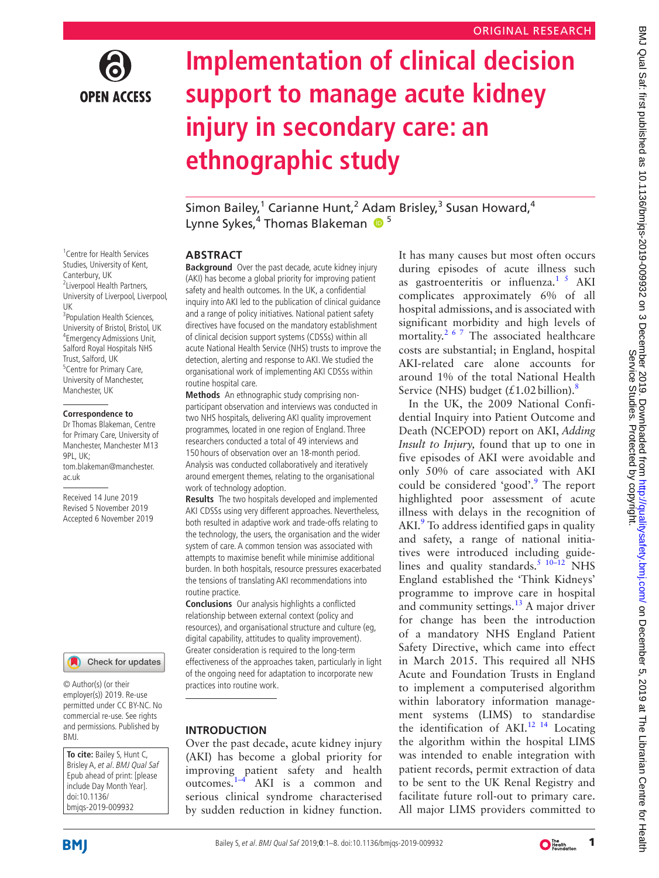

## **Implementation of clinical decision support to manage acute kidney injury in secondary care: an ethnographic study**

Simon Bailey,<sup>1</sup> Carianne Hunt,<sup>2</sup> Adam Brisley,<sup>3</sup> Susan Howard,<sup>4</sup> Lynne Sykes,<sup>4</sup> Thomas Blakeman <sup>15</sup>

#### **ABSTRACT**

**Background** Over the past decade, acute kidney injury (AKI) has become a global priority for improving patient safety and health outcomes. In the UK, a confidential inquiry into AKI led to the publication of clinical guidance and a range of policy initiatives. National patient safety directives have focused on the mandatory establishment of clinical decision support systems (CDSSs) within all acute National Health Service (NHS) trusts to improve the detection, alerting and response to AKI. We studied the organisational work of implementing AKI CDSSs within routine hospital care.

**Methods** An ethnographic study comprising nonparticipant observation and interviews was conducted in two NHS hospitals, delivering AKI quality improvement programmes, located in one region of England. Three researchers conducted a total of 49 interviews and 150 hours of observation over an 18-month period. Analysis was conducted collaboratively and iteratively around emergent themes, relating to the organisational work of technology adoption.

**Results** The two hospitals developed and implemented AKI CDSSs using very different approaches. Nevertheless, both resulted in adaptive work and trade-offs relating to the technology, the users, the organisation and the wider system of care. A common tension was associated with attempts to maximise benefit while minimise additional burden. In both hospitals, resource pressures exacerbated the tensions of translating AKI recommendations into routine practice.

**Conclusions** Our analysis highlights a conflicted relationship between external context (policy and resources), and organisational structure and culture (eg, digital capability, attitudes to quality improvement). Greater consideration is required to the long-term effectiveness of the approaches taken, particularly in light of the ongoing need for adaptation to incorporate new practices into routine work.

#### **Introduction**

Over the past decade, acute kidney injury (AKI) has become a global priority for improving patient safety and health outcomes. $1-4$  AKI is a common and serious clinical syndrome characterised by sudden reduction in kidney function.

It has many causes but most often occurs during episodes of acute illness such as gastroenteritis or influenza. $15$  AKI complicates approximately 6% of all hospital admissions, and is associated with significant morbidity and high levels of mortality.<sup>2 6 7</sup> The associated healthcare costs are substantial; in England, hospital AKI-related care alone accounts for around 1% of the total National Health Service (NHS) budget  $(\text{\textsterling}1.02\,\text{billion})$ .

In the UK, the 2009 National Confidential Inquiry into Patient Outcome and Death (NCEPOD) report on AKI, *Adding Insult to Injury,* found that up to one in five episodes of AKI were avoidable and only 50% of care associated with AKI could be considered 'good'.<sup>9</sup> The report highlighted poor assessment of acute illness with delays in the recognition of AKI.<sup>9</sup> To address identified gaps in quality and safety, a range of national initiatives were introduced including guidelines and quality standards.<sup>5</sup>  $10-12$  NHS England established the 'Think Kidneys' programme to improve care in hospital and community settings. $13$  A major driver for change has been the introduction of a mandatory NHS England Patient Safety Directive, which came into effect in March 2015. This required all NHS Acute and Foundation Trusts in England to implement a computerised algorithm within laboratory information management systems (LIMS) to standardise the identification of AKI.<sup>12 14</sup> Locating the algorithm within the hospital LIMS was intended to enable integration with patient records, permit extraction of data to be sent to the UK Renal Registry and facilitate future roll-out to primary care. All major LIMS providers committed to

1 Centre for Health Services Studies, University of Kent, Canterbury, UK 2 Liverpool Health Partners, University of Liverpool, Liverpool, UK

<sup>3</sup>Population Health Sciences, University of Bristol, Bristol, UK 4 Emergency Admissions Unit, Salford Royal Hospitals NHS Trust, Salford, UK <sup>5</sup> Centre for Primary Care, University of Manchester, Manchester, UK

#### **Correspondence to**

Dr Thomas Blakeman, Centre for Primary Care, University of Manchester, Manchester M13 9PL, UK; tom.blakeman@manchester. ac.uk

Received 14 June 2019 Revised 5 November 2019 Accepted 6 November 2019



© Author(s) (or their employer(s)) 2019. Re-use permitted under CC BY-NC. No commercial re-use. See rights and permissions. Published by BMJ.

**To cite:** Bailey S, Hunt C, Brisley A, et al. BMJ Qual Saf Epub ahead of print: [please include Day Month Year]. doi:10.1136/ bmjqs-2019-009932



BMJ Qual Sat: first published as 10.1136/bmjqs-2019-009932 on 3 December 2019. Downloaded from http://qualitysafety.bmj.com/ on December 5, 2019 at The Librarian Centre for Health<br>Sarvish Sat: first published as 10.1136/bm BMJ Qual Sat: tirst published as 10.1136/bmjqs-2019-009932 on 3 December 2019. Downloaded from <http://qualitysafety.bmj.com/> on December 5, 2019 at The Librarian Centre for Health Service Studies. Protected by copyright.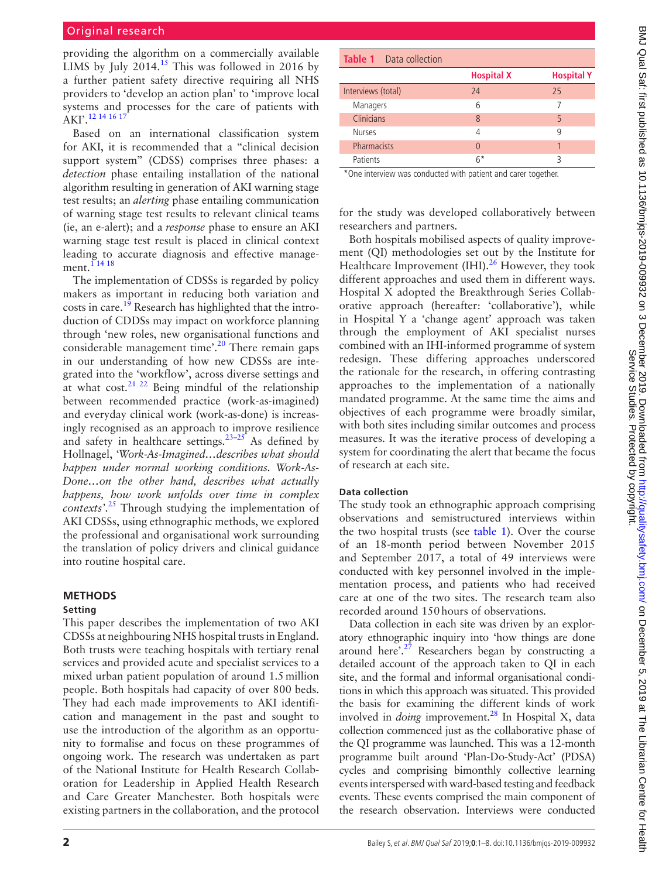providing the algorithm on a commercially available LIMS by July  $2014<sup>15</sup>$  This was followed in 2016 by a further patient safety directive requiring all NHS providers to 'develop an action plan' to 'improve local systems and processes for the care of patients with  $AKI'$ .<sup>12</sup> <sup>14</sup> <sup>16</sup> <sup>1</sup>

Based on an international classification system for AKI, it is recommended that a "clinical decision support system" (CDSS) comprises three phases: a *detection* phase entailing installation of the national algorithm resulting in generation of AKI warning stage test results; an *alerting* phase entailing communication of warning stage test results to relevant clinical teams (ie, an e-alert); and a *response* phase to ensure an AKI warning stage test result is placed in clinical context leading to accurate diagnosis and effective management.1 14 18

The implementation of CDSSs is regarded by policy makers as important in reducing both variation and costs in care.<sup>19</sup> Research has highlighted that the introduction of CDDSs may impact on workforce planning through 'new roles, new organisational functions and considerable management time'. $20$  There remain gaps in our understanding of how new CDSSs are integrated into the 'workflow', across diverse settings and at what  $\cot^{21}$ <sup>22</sup> Being mindful of the relationship between recommended practice (work-as-imagined) and everyday clinical work (work-as-done) is increasingly recognised as an approach to improve resilience and safety in healthcare settings.<sup>23-25</sup> As defined by Hollnagel, '*Work-As-Imagined…describes what should happen under normal working conditions. Work-As-Done…on the other hand, describes what actually happens, how work unfolds over time in complex contexts'*. 25 Through studying the implementation of AKI CDSSs, using ethnographic methods, we explored the professional and organisational work surrounding the translation of policy drivers and clinical guidance into routine hospital care.

#### **Methods**

#### **Setting**

This paper describes the implementation of two AKI CDSSs at neighbouring NHS hospital trusts in England. Both trusts were teaching hospitals with tertiary renal services and provided acute and specialist services to a mixed urban patient population of around 1.5million people. Both hospitals had capacity of over 800 beds. They had each made improvements to AKI identification and management in the past and sought to use the introduction of the algorithm as an opportunity to formalise and focus on these programmes of ongoing work. The research was undertaken as part of the National Institute for Health Research Collaboration for Leadership in Applied Health Research and Care Greater Manchester. Both hospitals were existing partners in the collaboration, and the protocol

| <b>Table 1</b> Data collection |                                                                                                                 |                   |
|--------------------------------|-----------------------------------------------------------------------------------------------------------------|-------------------|
|                                | <b>Hospital X</b>                                                                                               | <b>Hospital Y</b> |
| Interviews (total)             | 24                                                                                                              | 25                |
| Managers                       | 6                                                                                                               |                   |
| Clinicians                     | 8                                                                                                               | 5                 |
| <b>Nurses</b>                  | 4                                                                                                               | 9                 |
| Pharmacists                    | $\Omega$                                                                                                        |                   |
| Patients                       | $6*$                                                                                                            | ς                 |
| ٠<br>$+$ $  -$                 | the contract of the contract of the contract of the contract of the contract of the contract of the contract of |                   |

\*One interview was conducted with patient and carer together.

for the study was developed collaboratively between researchers and partners.

Both hospitals mobilised aspects of quality improvement (QI) methodologies set out by the Institute for Healthcare Improvement  $(HII)$ .<sup>26</sup> However, they took different approaches and used them in different ways. Hospital X adopted the Breakthrough Series Collaborative approach (hereafter: 'collaborative'), while in Hospital Y a 'change agent' approach was taken through the employment of AKI specialist nurses combined with an IHI-informed programme of system redesign. These differing approaches underscored the rationale for the research, in offering contrasting approaches to the implementation of a nationally mandated programme. At the same time the aims and objectives of each programme were broadly similar, with both sites including similar outcomes and process measures. It was the iterative process of developing a system for coordinating the alert that became the focus of research at each site.

#### **Data collection**

The study took an ethnographic approach comprising observations and semistructured interviews within the two hospital trusts (see table 1). Over the course of an 18-month period between November 2015 and September 2017, a total of 49 interviews were conducted with key personnel involved in the implementation process, and patients who had received care at one of the two sites. The research team also recorded around 150hours of observations.

Data collection in each site was driven by an exploratory ethnographic inquiry into 'how things are done around here'.<sup>27</sup> Researchers began by constructing a detailed account of the approach taken to QI in each site, and the formal and informal organisational conditions in which this approach was situated. This provided the basis for examining the different kinds of work involved in *doing* improvement.<sup>28</sup> In Hospital X, data collection commenced just as the collaborative phase of the QI programme was launched. This was a 12-month programme built around 'Plan-Do-Study-Act' (PDSA) cycles and comprising bimonthly collective learning events interspersed with ward-based testing and feedback events. These events comprised the main component of the research observation. Interviews were conducted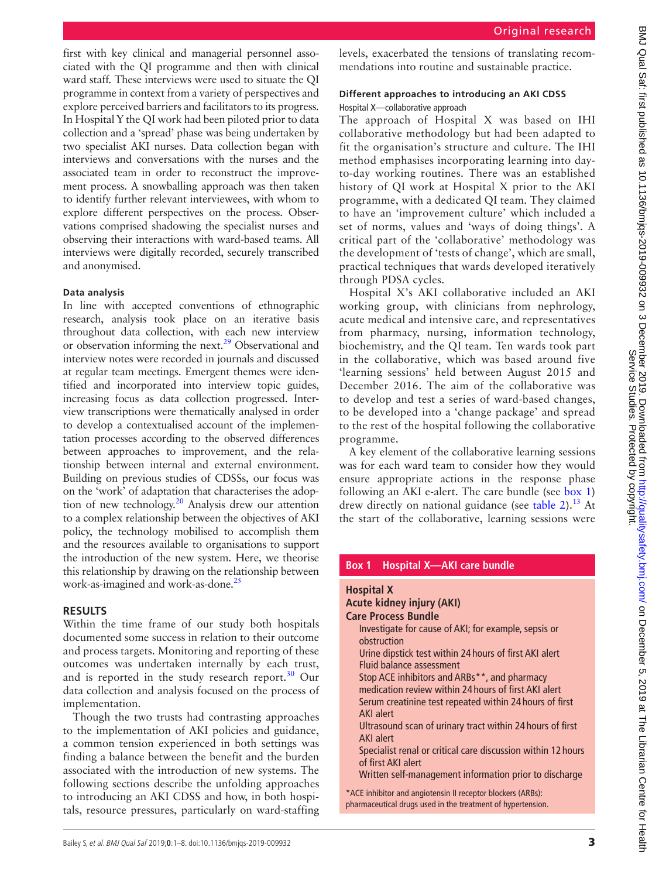first with key clinical and managerial personnel associated with the QI programme and then with clinical ward staff. These interviews were used to situate the QI programme in context from a variety of perspectives and explore perceived barriers and facilitators to its progress. In Hospital Y the QI work had been piloted prior to data collection and a 'spread' phase was being undertaken by two specialist AKI nurses. Data collection began with interviews and conversations with the nurses and the associated team in order to reconstruct the improvement process. A snowballing approach was then taken to identify further relevant interviewees, with whom to explore different perspectives on the process. Observations comprised shadowing the specialist nurses and observing their interactions with ward-based teams. All interviews were digitally recorded, securely transcribed and anonymised.

#### **Data analysis**

In line with accepted conventions of ethnographic research, analysis took place on an iterative basis throughout data collection, with each new interview or observation informing the next.29 Observational and interview notes were recorded in journals and discussed at regular team meetings. Emergent themes were identified and incorporated into interview topic guides, increasing focus as data collection progressed. Interview transcriptions were thematically analysed in order to develop a contextualised account of the implementation processes according to the observed differences between approaches to improvement, and the relationship between internal and external environment. Building on previous studies of CDSSs, our focus was on the 'work' of adaptation that characterises the adoption of new technology.20 Analysis drew our attention to a complex relationship between the objectives of AKI policy, the technology mobilised to accomplish them and the resources available to organisations to support the introduction of the new system. Here, we theorise this relationship by drawing on the relationship between work-as-imagined and work-as-done.<sup>25</sup>

#### **Results**

Within the time frame of our study both hospitals documented some success in relation to their outcome and process targets. Monitoring and reporting of these outcomes was undertaken internally by each trust, and is reported in the study research report.<sup>30</sup> Our data collection and analysis focused on the process of implementation.

Though the two trusts had contrasting approaches to the implementation of AKI policies and guidance, a common tension experienced in both settings was finding a balance between the benefit and the burden associated with the introduction of new systems. The following sections describe the unfolding approaches to introducing an AKI CDSS and how, in both hospitals, resource pressures, particularly on ward-staffing levels, exacerbated the tensions of translating recommendations into routine and sustainable practice.

#### **Different approaches to introducing an AKI CDSS** Hospital X—collaborative approach

The approach of Hospital X was based on IHI collaborative methodology but had been adapted to fit the organisation's structure and culture. The IHI method emphasises incorporating learning into dayto-day working routines. There was an established history of QI work at Hospital X prior to the AKI programme, with a dedicated QI team. They claimed to have an 'improvement culture' which included a set of norms, values and 'ways of doing things'. A critical part of the 'collaborative' methodology was the development of 'tests of change', which are small, practical techniques that wards developed iteratively through PDSA cycles.

Hospital X's AKI collaborative included an AKI working group, with clinicians from nephrology, acute medical and intensive care, and representatives from pharmacy, nursing, information technology, biochemistry, and the QI team. Ten wards took part in the collaborative, which was based around five 'learning sessions' held between August 2015 and December 2016. The aim of the collaborative was to develop and test a series of ward-based changes, to be developed into a 'change package' and spread to the rest of the hospital following the collaborative programme.

A key element of the collaborative learning sessions was for each ward team to consider how they would ensure appropriate actions in the response phase following an AKI e-alert. The care bundle (see box 1) drew directly on national guidance (see table 2).<sup>13</sup> At the start of the collaborative, learning sessions were

#### **Box 1 Hospital X—AKI care bundle Hospital X Acute kidney injury (AKI) Care Process Bundle** Investigate for cause of AKI; for example, sepsis or obstruction Urine dipstick test within 24 hours of first AKI alert Fluid balance assessment Stop ACE inhibitors and ARBs\*\*, and pharmacy medication review within 24 hours of first AKI alert Serum creatinine test repeated within 24 hours of first AKI alert Ultrasound scan of urinary tract within 24 hours of first AKI alert Specialist renal or critical care discussion within 12 hours of first AKI alert Written self-management information prior to discharge \*ACE inhibitor and angiotensin II receptor blockers (ARBs): pharmaceutical drugs used in the treatment of hypertension.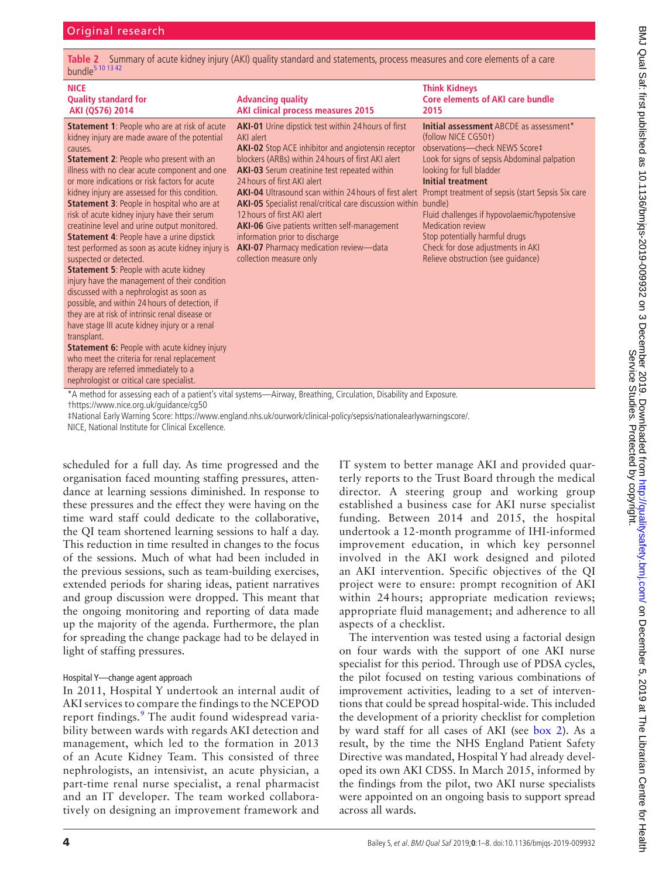| <b>Table 2</b> Summary of acute kidney injury (AKI) quality standard and statements, process measures and core elements of a care<br>bundle <sup>5</sup> 10 13 42                                                                                                                                                                                                                                                                                                                                                                                                                                                                                                                                                                                                                                                                                                                                                                                                                                                                                                                                                  |                                                                                                                                                                                                                                                                                                                                                                                                                                                                                                                                                                                            |                                                                                                                                                                                                                                                                                                                                                                                                                                                                   |  |
|--------------------------------------------------------------------------------------------------------------------------------------------------------------------------------------------------------------------------------------------------------------------------------------------------------------------------------------------------------------------------------------------------------------------------------------------------------------------------------------------------------------------------------------------------------------------------------------------------------------------------------------------------------------------------------------------------------------------------------------------------------------------------------------------------------------------------------------------------------------------------------------------------------------------------------------------------------------------------------------------------------------------------------------------------------------------------------------------------------------------|--------------------------------------------------------------------------------------------------------------------------------------------------------------------------------------------------------------------------------------------------------------------------------------------------------------------------------------------------------------------------------------------------------------------------------------------------------------------------------------------------------------------------------------------------------------------------------------------|-------------------------------------------------------------------------------------------------------------------------------------------------------------------------------------------------------------------------------------------------------------------------------------------------------------------------------------------------------------------------------------------------------------------------------------------------------------------|--|
| <b>NICE</b><br><b>Quality standard for</b><br>AKI (QS76) 2014                                                                                                                                                                                                                                                                                                                                                                                                                                                                                                                                                                                                                                                                                                                                                                                                                                                                                                                                                                                                                                                      | <b>Advancing quality</b><br>AKI clinical process measures 2015                                                                                                                                                                                                                                                                                                                                                                                                                                                                                                                             | <b>Think Kidneys</b><br><b>Core elements of AKI care bundle</b><br>2015                                                                                                                                                                                                                                                                                                                                                                                           |  |
| <b>Statement 1: People who are at risk of acute</b><br>kidney injury are made aware of the potential<br>causes.<br><b>Statement 2: People who present with an</b><br>illness with no clear acute component and one<br>or more indications or risk factors for acute<br>kidney injury are assessed for this condition.<br><b>Statement 3: People in hospital who are at</b><br>risk of acute kidney injury have their serum<br>creatinine level and urine output monitored.<br><b>Statement 4: People have a urine dipstick</b><br>test performed as soon as acute kidney injury is<br>suspected or detected.<br><b>Statement 5: People with acute kidney</b><br>injury have the management of their condition<br>discussed with a nephrologist as soon as<br>possible, and within 24 hours of detection, if<br>they are at risk of intrinsic renal disease or<br>have stage III acute kidney injury or a renal<br>transplant.<br>Statement 6: People with acute kidney injury<br>who meet the criteria for renal replacement<br>therapy are referred immediately to a<br>nephrologist or critical care specialist. | <b>AKI-01</b> Urine dipstick test within 24 hours of first<br>AKI alert<br><b>AKI-02</b> Stop ACE inhibitor and angiotensin receptor<br>blockers (ARBs) within 24 hours of first AKI alert<br>AKI-03 Serum creatinine test repeated within<br>24 hours of first AKI alert<br><b>AKI-04</b> Ultrasound scan within 24 hours of first alert<br>AKI-05 Specialist renal/critical care discussion within<br>12 hours of first AKI alert<br>AKI-06 Give patients written self-management<br>information prior to discharge<br>AKI-07 Pharmacy medication review-data<br>collection measure only | <b>Initial assessment</b> ABCDE as assessment*<br>(follow NICE CG501)<br>observations-check NEWS Score‡<br>Look for signs of sepsis Abdominal palpation<br>looking for full bladder<br><b>Initial treatment</b><br>Prompt treatment of sepsis (start Sepsis Six care<br>bundle)<br>Fluid challenges if hypovolaemic/hypotensive<br>Medication review<br>Stop potentially harmful drugs<br>Check for dose adjustments in AKI<br>Relieve obstruction (see quidance) |  |
| *A method for assessing each of a patient's vital systems—Airway, Breathing, Circulation, Disability and Exposure.<br>thttps://www.pice.org.uk/guidance/ca50                                                                                                                                                                                                                                                                                                                                                                                                                                                                                                                                                                                                                                                                                                                                                                                                                                                                                                                                                       |                                                                                                                                                                                                                                                                                                                                                                                                                                                                                                                                                                                            |                                                                                                                                                                                                                                                                                                                                                                                                                                                                   |  |

[†https://www.nice.org.uk/guidance/cg50](https://www.nice.org.uk/guidance/cg50)

‡National Early Warning Score: [https://www.england.nhs.uk/ourwork/clinical-policy/sepsis/nationalearlywarningscore/.](https://www.england.nhs.uk/ourwork/clinical-policy/sepsis/nationalearlywarningscore/)

NICE, National Institute for Clinical Excellence.

scheduled for a full day. As time progressed and the organisation faced mounting staffing pressures, attendance at learning sessions diminished. In response to these pressures and the effect they were having on the time ward staff could dedicate to the collaborative, the QI team shortened learning sessions to half a day. This reduction in time resulted in changes to the focus of the sessions. Much of what had been included in the previous sessions, such as team-building exercises, extended periods for sharing ideas, patient narratives and group discussion were dropped. This meant that the ongoing monitoring and reporting of data made up the majority of the agenda. Furthermore, the plan for spreading the change package had to be delayed in light of staffing pressures.

#### Hospital Y—change agent approach

In 2011, Hospital Y undertook an internal audit of AKI services to compare the findings to the NCEPOD report findings.<sup>9</sup> The audit found widespread variability between wards with regards AKI detection and management, which led to the formation in 2013 of an Acute Kidney Team. This consisted of three nephrologists, an intensivist, an acute physician, a part-time renal nurse specialist, a renal pharmacist and an IT developer. The team worked collaboratively on designing an improvement framework and

IT system to better manage AKI and provided quarterly reports to the Trust Board through the medical director. A steering group and working group established a business case for AKI nurse specialist funding. Between 2014 and 2015, the hospital undertook a 12-month programme of IHI-informed improvement education, in which key personnel involved in the AKI work designed and piloted an AKI intervention. Specific objectives of the QI project were to ensure: prompt recognition of AKI within 24 hours; appropriate medication reviews; appropriate fluid management; and adherence to all aspects of a checklist.

The intervention was tested using a factorial design on four wards with the support of one AKI nurse specialist for this period. Through use of PDSA cycles, the pilot focused on testing various combinations of improvement activities, leading to a set of interventions that could be spread hospital-wide. This included the development of a priority checklist for completion by ward staff for all cases of AKI (see box 2). As a result, by the time the NHS England Patient Safety Directive was mandated, Hospital Y had already developed its own AKI CDSS. In March 2015, informed by the findings from the pilot, two AKI nurse specialists were appointed on an ongoing basis to support spread across all wards.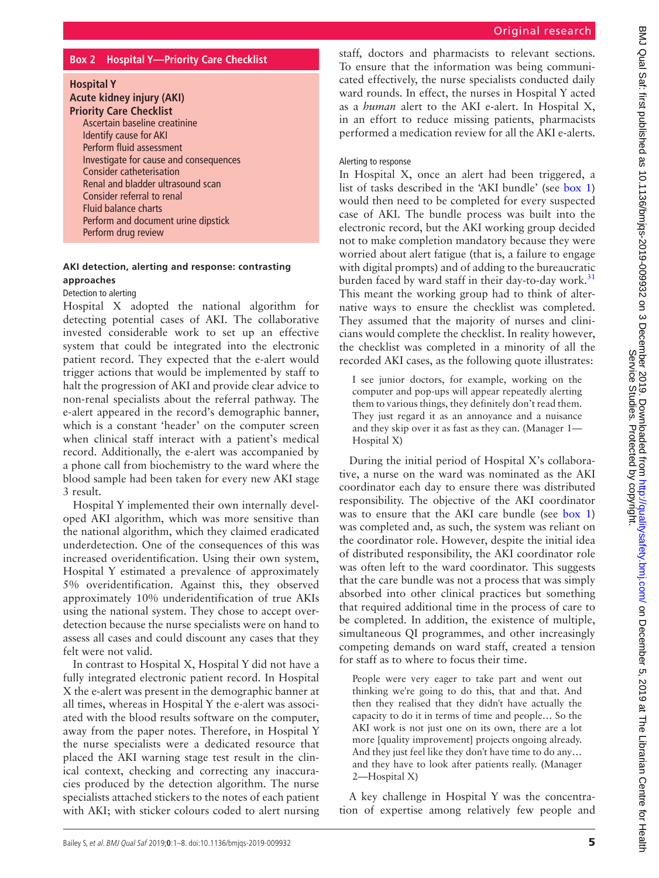#### **Box 2 Hospital Y—Priority Care Checklist**

#### **Hospital Y**

#### **Acute kidney injury (AKI) Priority Care Checklist**

Ascertain baseline creatinine Identify cause for AKI Perform fluid assessment Investigate for cause and consequences Consider catheterisation Renal and bladder ultrasound scan Consider referral to renal Fluid balance charts Perform and document urine dipstick Perform drug review

#### **AKI detection, alerting and response: contrasting approaches**

#### Detection to alerting

Hospital X adopted the national algorithm for detecting potential cases of AKI. The collaborative invested considerable work to set up an effective system that could be integrated into the electronic patient record. They expected that the e-alert would trigger actions that would be implemented by staff to halt the progression of AKI and provide clear advice to non-renal specialists about the referral pathway. The e-alert appeared in the record's demographic banner, which is a constant 'header' on the computer screen when clinical staff interact with a patient's medical record. Additionally, the e-alert was accompanied by a phone call from biochemistry to the ward where the blood sample had been taken for every new AKI stage 3 result.

Hospital Y implemented their own internally developed AKI algorithm, which was more sensitive than the national algorithm, which they claimed eradicated underdetection. One of the consequences of this was increased overidentification. Using their own system, Hospital Y estimated a prevalence of approximately 5% overidentification. Against this, they observed approximately 10% underidentification of true AKIs using the national system. They chose to accept overdetection because the nurse specialists were on hand to assess all cases and could discount any cases that they felt were not valid.

In contrast to Hospital X, Hospital Y did not have a fully integrated electronic patient record. In Hospital X the e-alert was present in the demographic banner at all times, whereas in Hospital Y the e-alert was associated with the blood results software on the computer, away from the paper notes. Therefore, in Hospital Y the nurse specialists were a dedicated resource that placed the AKI warning stage test result in the clinical context, checking and correcting any inaccuracies produced by the detection algorithm. The nurse specialists attached stickers to the notes of each patient with AKI; with sticker colours coded to alert nursing staff, doctors and pharmacists to relevant sections. To ensure that the information was being communicated effectively, the nurse specialists conducted daily ward rounds. In effect, the nurses in Hospital Y acted as a *human* alert to the AKI e-alert. In Hospital X, in an effort to reduce missing patients, pharmacists performed a medication review for all the AKI e-alerts.

#### Alerting to response

In Hospital X, once an alert had been triggered, a list of tasks described in the 'AKI bundle' (see box 1) would then need to be completed for every suspected case of AKI. The bundle process was built into the electronic record, but the AKI working group decided not to make completion mandatory because they were worried about alert fatigue (that is, a failure to engage with digital prompts) and of adding to the bureaucratic burden faced by ward staff in their day-to-day work. $31$ This meant the working group had to think of alternative ways to ensure the checklist was completed. They assumed that the majority of nurses and clinicians would complete the checklist. In reality however, the checklist was completed in a minority of all the recorded AKI cases, as the following quote illustrates:

I see junior doctors, for example, working on the computer and pop-ups will appear repeatedly alerting them to various things, they definitely don't read them. They just regard it as an annoyance and a nuisance and they skip over it as fast as they can. (Manager 1— Hospital X)

During the initial period of Hospital X's collaborative, a nurse on the ward was nominated as the AKI coordinator each day to ensure there was distributed responsibility. The objective of the AKI coordinator was to ensure that the AKI care bundle (see box 1) was completed and, as such, the system was reliant on the coordinator role. However, despite the initial idea of distributed responsibility, the AKI coordinator role was often left to the ward coordinator. This suggests that the care bundle was not a process that was simply absorbed into other clinical practices but something that required additional time in the process of care to be completed. In addition, the existence of multiple, simultaneous QI programmes, and other increasingly competing demands on ward staff, created a tension for staff as to where to focus their time.

People were very eager to take part and went out thinking we're going to do this, that and that. And then they realised that they didn't have actually the capacity to do it in terms of time and people… So the AKI work is not just one on its own, there are a lot more [quality improvement] projects ongoing already. And they just feel like they don't have time to do any… and they have to look after patients really. (Manager 2—Hospital X)

A key challenge in Hospital Y was the concentration of expertise among relatively few people and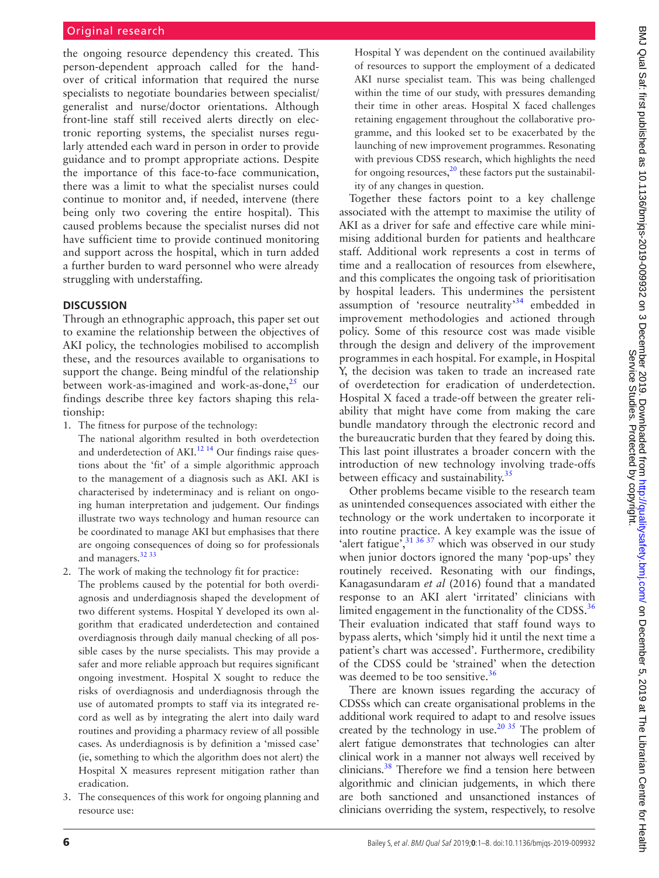the ongoing resource dependency this created. This person-dependent approach called for the handover of critical information that required the nurse specialists to negotiate boundaries between specialist/ generalist and nurse/doctor orientations. Although front-line staff still received alerts directly on electronic reporting systems, the specialist nurses regularly attended each ward in person in order to provide guidance and to prompt appropriate actions. Despite the importance of this face-to-face communication, there was a limit to what the specialist nurses could continue to monitor and, if needed, intervene (there being only two covering the entire hospital). This caused problems because the specialist nurses did not have sufficient time to provide continued monitoring and support across the hospital, which in turn added a further burden to ward personnel who were already struggling with understaffing.

#### **Discussion**

Through an ethnographic approach, this paper set out to examine the relationship between the objectives of AKI policy, the technologies mobilised to accomplish these, and the resources available to organisations to support the change. Being mindful of the relationship between work-as-imagined and work-as-done, $25$  our findings describe three key factors shaping this relationship:

1. The fitness for purpose of the technology:

The national algorithm resulted in both overdetection and underdetection of AKI.<sup>12 14</sup> Our findings raise questions about the 'fit' of a simple algorithmic approach to the management of a diagnosis such as AKI. AKI is characterised by indeterminacy and is reliant on ongoing human interpretation and judgement. Our findings illustrate two ways technology and human resource can be coordinated to manage AKI but emphasises that there are ongoing consequences of doing so for professionals and managers.<sup>32</sup> 33

- 2. The work of making the technology fit for practice:
- The problems caused by the potential for both overdiagnosis and underdiagnosis shaped the development of two different systems. Hospital Y developed its own algorithm that eradicated underdetection and contained overdiagnosis through daily manual checking of all possible cases by the nurse specialists. This may provide a safer and more reliable approach but requires significant ongoing investment. Hospital X sought to reduce the risks of overdiagnosis and underdiagnosis through the use of automated prompts to staff via its integrated record as well as by integrating the alert into daily ward routines and providing a pharmacy review of all possible cases. As underdiagnosis is by definition a 'missed case' (ie, something to which the algorithm does not alert) the Hospital X measures represent mitigation rather than eradication.
- 3. The consequences of this work for ongoing planning and resource use:

Hospital Y was dependent on the continued availability of resources to support the employment of a dedicated AKI nurse specialist team. This was being challenged within the time of our study, with pressures demanding their time in other areas. Hospital X faced challenges retaining engagement throughout the collaborative programme, and this looked set to be exacerbated by the launching of new improvement programmes. Resonating with previous CDSS research, which highlights the need for ongoing resources, $^{20}$  these factors put the sustainability of any changes in question.

Together these factors point to a key challenge associated with the attempt to maximise the utility of AKI as a driver for safe and effective care while minimising additional burden for patients and healthcare staff. Additional work represents a cost in terms of time and a reallocation of resources from elsewhere, and this complicates the ongoing task of prioritisation by hospital leaders. This undermines the persistent assumption of 'resource neutrality'<sup>34</sup> embedded in improvement methodologies and actioned through policy. Some of this resource cost was made visible through the design and delivery of the improvement programmes in each hospital. For example, in Hospital Y, the decision was taken to trade an increased rate of overdetection for eradication of underdetection. Hospital X faced a trade-off between the greater reliability that might have come from making the care bundle mandatory through the electronic record and the bureaucratic burden that they feared by doing this. This last point illustrates a broader concern with the introduction of new technology involving trade-offs between efficacy and sustainability.<sup>35</sup>

Other problems became visible to the research team as unintended consequences associated with either the technology or the work undertaken to incorporate it into routine practice. A key example was the issue of 'alert fatigue',<sup>31 36 37</sup> which was observed in our study when junior doctors ignored the many 'pop-ups' they routinely received. Resonating with our findings, Kanagasundaram *et al* (2016) found that a mandated response to an AKI alert 'irritated' clinicians with limited engagement in the functionality of the CDSS. $36$ Their evaluation indicated that staff found ways to bypass alerts, which 'simply hid it until the next time a patient's chart was accessed'. Furthermore, credibility of the CDSS could be 'strained' when the detection was deemed to be too sensitive.<sup>36</sup>

There are known issues regarding the accuracy of CDSSs which can create organisational problems in the additional work required to adapt to and resolve issues created by the technology in use.<sup>20 35</sup> The problem of alert fatigue demonstrates that technologies can alter clinical work in a manner not always well received by clinicians.<sup>38</sup> Therefore we find a tension here between algorithmic and clinician judgements, in which there are both sanctioned and unsanctioned instances of clinicians overriding the system, respectively, to resolve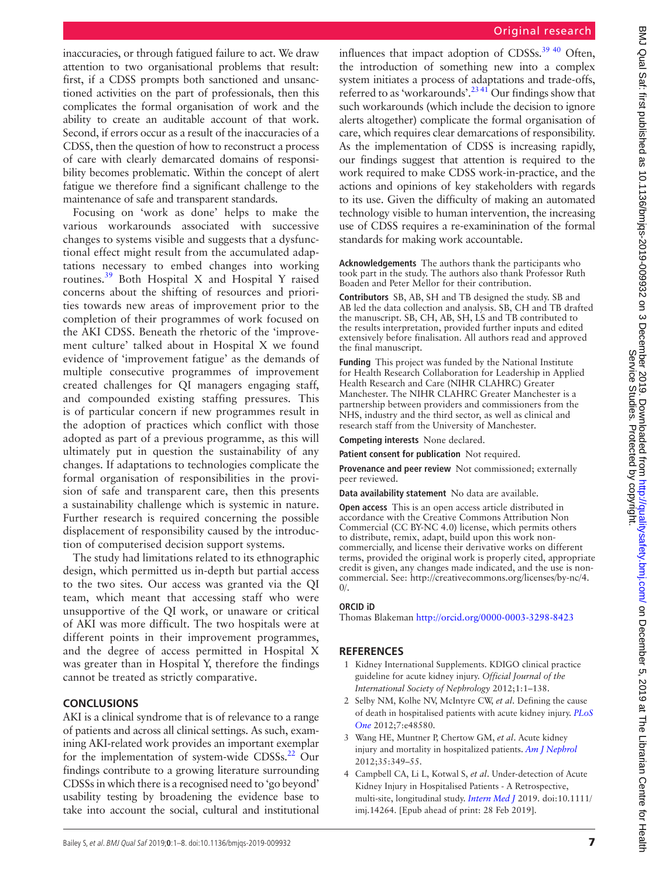inaccuracies, or through fatigued failure to act. We draw attention to two organisational problems that result: first, if a CDSS prompts both sanctioned and unsanctioned activities on the part of professionals, then this complicates the formal organisation of work and the ability to create an auditable account of that work. Second, if errors occur as a result of the inaccuracies of a CDSS, then the question of how to reconstruct a process of care with clearly demarcated domains of responsibility becomes problematic. Within the concept of alert fatigue we therefore find a significant challenge to the maintenance of safe and transparent standards.

Focusing on 'work as done' helps to make the various workarounds associated with successive changes to systems visible and suggests that a dysfunctional effect might result from the accumulated adaptations necessary to embed changes into working routines.39 Both Hospital X and Hospital Y raised concerns about the shifting of resources and priorities towards new areas of improvement prior to the completion of their programmes of work focused on the AKI CDSS. Beneath the rhetoric of the 'improvement culture' talked about in Hospital X we found evidence of 'improvement fatigue' as the demands of multiple consecutive programmes of improvement created challenges for QI managers engaging staff, and compounded existing staffing pressures. This is of particular concern if new programmes result in the adoption of practices which conflict with those adopted as part of a previous programme, as this will ultimately put in question the sustainability of any changes. If adaptations to technologies complicate the formal organisation of responsibilities in the provision of safe and transparent care, then this presents a sustainability challenge which is systemic in nature. Further research is required concerning the possible displacement of responsibility caused by the introduction of computerised decision support systems.

The study had limitations related to its ethnographic design, which permitted us in-depth but partial access to the two sites. Our access was granted via the QI team, which meant that accessing staff who were unsupportive of the QI work, or unaware or critical of AKI was more difficult. The two hospitals were at different points in their improvement programmes, and the degree of access permitted in Hospital X was greater than in Hospital Y, therefore the findings cannot be treated as strictly comparative.

#### **Conclusions**

AKI is a clinical syndrome that is of relevance to a range of patients and across all clinical settings. As such, examining AKI-related work provides an important exemplar for the implementation of system-wide CDSSs.<sup>22</sup> Our findings contribute to a growing literature surrounding CDSSs in which there is a recognised need to 'go beyond' usability testing by broadening the evidence base to take into account the social, cultural and institutional

influences that impact adoption of CDSSs.<sup>39 40</sup> Often, the introduction of something new into a complex system initiates a process of adaptations and trade-offs, referred to as 'workarounds'.23 41 Our findings show that such workarounds (which include the decision to ignore alerts altogether) complicate the formal organisation of care, which requires clear demarcations of responsibility. As the implementation of CDSS is increasing rapidly, our findings suggest that attention is required to the work required to make CDSS work-in-practice, and the actions and opinions of key stakeholders with regards to its use. Given the difficulty of making an automated technology visible to human intervention, the increasing use of CDSS requires a re-examinination of the formal standards for making work accountable.

**Acknowledgements** The authors thank the participants who took part in the study. The authors also thank Professor Ruth Boaden and Peter Mellor for their contribution.

**Contributors** SB, AB, SH and TB designed the study. SB and AB led the data collection and analysis. SB, CH and TB drafted the manuscript. SB, CH, AB, SH, LS and TB contributed to the results interpretation, provided further inputs and edited extensively before finalisation. All authors read and approved the final manuscript.

**Funding** This project was funded by the National Institute for Health Research Collaboration for Leadership in Applied Health Research and Care (NIHR CLAHRC) Greater Manchester. The NIHR CLAHRC Greater Manchester is a partnership between providers and commissioners from the NHS, industry and the third sector, as well as clinical and research staff from the University of Manchester.

**Competing interests** None declared.

**Patient consent for publication** Not required.

**Provenance and peer review** Not commissioned; externally peer reviewed.

**Data availability statement** No data are available.

**Open access** This is an open access article distributed in accordance with the Creative Commons Attribution Non Commercial (CC BY-NC 4.0) license, which permits others to distribute, remix, adapt, build upon this work noncommercially, and license their derivative works on different terms, provided the original work is properly cited, appropriate credit is given, any changes made indicated, and the use is noncommercial. See: [http://creativecommons.org/licenses/by-nc/4.](http://creativecommons.org/licenses/by-nc/4.0/)  $0/$ .

#### **ORCID iD**

Thomas Blakeman<http://orcid.org/0000-0003-3298-8423>

#### **References**

- 1 Kidney International Supplements. KDIGO clinical practice guideline for acute kidney injury. *Official Journal of the International Society of Nephrology* 2012;1:1–138.
- 2 Selby NM, Kolhe NV, McIntyre CW, *et al*. Defining the cause of death in hospitalised patients with acute kidney injury. *[PLoS](http://dx.doi.org/10.1371/journal.pone.0048580)  [One](http://dx.doi.org/10.1371/journal.pone.0048580)* 2012;7:e48580.
- 3 Wang HE, Muntner P, Chertow GM, *et al*. Acute kidney injury and mortality in hospitalized patients. *[Am J Nephrol](http://dx.doi.org/10.1159/000337487)* 2012;35:349–55.
- 4 Campbell CA, Li L, Kotwal S, *et al*. Under-detection of Acute Kidney Injury in Hospitalised Patients - A Retrospective, multi-site, longitudinal study. *[Intern Med J](http://dx.doi.org/10.1111/imj.14264)* 2019. doi:10.1111/ imj.14264. [Epub ahead of print: 28 Feb 2019].